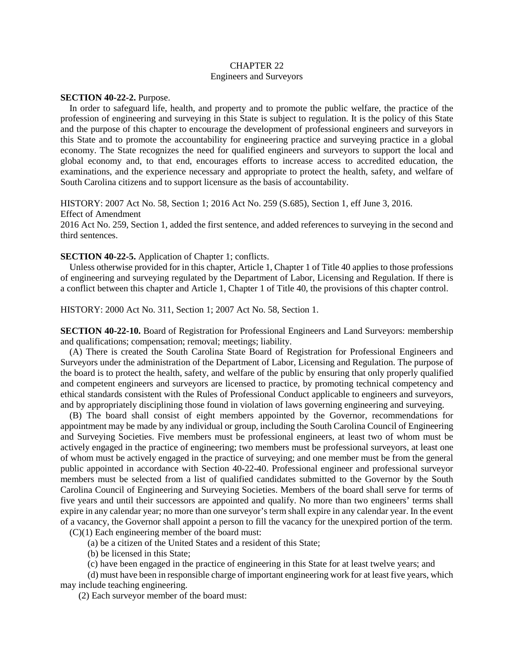# CHAPTER 22 Engineers and Surveyors

#### **SECTION 40-22-2.** Purpose.

In order to safeguard life, health, and property and to promote the public welfare, the practice of the profession of engineering and surveying in this State is subject to regulation. It is the policy of this State and the purpose of this chapter to encourage the development of professional engineers and surveyors in this State and to promote the accountability for engineering practice and surveying practice in a global economy. The State recognizes the need for qualified engineers and surveyors to support the local and global economy and, to that end, encourages efforts to increase access to accredited education, the examinations, and the experience necessary and appropriate to protect the health, safety, and welfare of South Carolina citizens and to support licensure as the basis of accountability.

HISTORY: 2007 Act No. 58, Section 1; 2016 Act No. 259 (S.685), Section 1, eff June 3, 2016. Effect of Amendment

2016 Act No. 259, Section 1, added the first sentence, and added references to surveying in the second and third sentences.

#### **SECTION 40-22-5.** Application of Chapter 1; conflicts.

Unless otherwise provided for in this chapter, Article 1, Chapter 1 of Title 40 applies to those professions of engineering and surveying regulated by the Department of Labor, Licensing and Regulation. If there is a conflict between this chapter and Article 1, Chapter 1 of Title 40, the provisions of this chapter control.

HISTORY: 2000 Act No. 311, Section 1; 2007 Act No. 58, Section 1.

**SECTION 40-22-10.** Board of Registration for Professional Engineers and Land Surveyors: membership and qualifications; compensation; removal; meetings; liability.

(A) There is created the South Carolina State Board of Registration for Professional Engineers and Surveyors under the administration of the Department of Labor, Licensing and Regulation. The purpose of the board is to protect the health, safety, and welfare of the public by ensuring that only properly qualified and competent engineers and surveyors are licensed to practice, by promoting technical competency and ethical standards consistent with the Rules of Professional Conduct applicable to engineers and surveyors, and by appropriately disciplining those found in violation of laws governing engineering and surveying.

(B) The board shall consist of eight members appointed by the Governor, recommendations for appointment may be made by any individual or group, including the South Carolina Council of Engineering and Surveying Societies. Five members must be professional engineers, at least two of whom must be actively engaged in the practice of engineering; two members must be professional surveyors, at least one of whom must be actively engaged in the practice of surveying; and one member must be from the general public appointed in accordance with Section 40-22-40. Professional engineer and professional surveyor members must be selected from a list of qualified candidates submitted to the Governor by the South Carolina Council of Engineering and Surveying Societies. Members of the board shall serve for terms of five years and until their successors are appointed and qualify. No more than two engineers' terms shall expire in any calendar year; no more than one surveyor's term shall expire in any calendar year. In the event of a vacancy, the Governor shall appoint a person to fill the vacancy for the unexpired portion of the term. (C)(1) Each engineering member of the board must:

(a) be a citizen of the United States and a resident of this State;

(b) be licensed in this State;

(c) have been engaged in the practice of engineering in this State for at least twelve years; and

(d) must have been in responsible charge of important engineering work for at least five years, which may include teaching engineering.

(2) Each surveyor member of the board must: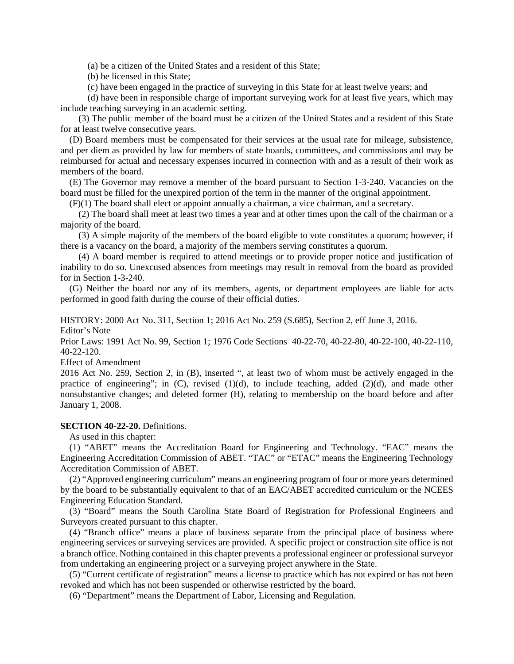(a) be a citizen of the United States and a resident of this State;

(b) be licensed in this State;

(c) have been engaged in the practice of surveying in this State for at least twelve years; and

(d) have been in responsible charge of important surveying work for at least five years, which may include teaching surveying in an academic setting.

(3) The public member of the board must be a citizen of the United States and a resident of this State for at least twelve consecutive years.

(D) Board members must be compensated for their services at the usual rate for mileage, subsistence, and per diem as provided by law for members of state boards, committees, and commissions and may be reimbursed for actual and necessary expenses incurred in connection with and as a result of their work as members of the board.

(E) The Governor may remove a member of the board pursuant to Section 1-3-240. Vacancies on the board must be filled for the unexpired portion of the term in the manner of the original appointment.

(F)(1) The board shall elect or appoint annually a chairman, a vice chairman, and a secretary.

(2) The board shall meet at least two times a year and at other times upon the call of the chairman or a majority of the board.

(3) A simple majority of the members of the board eligible to vote constitutes a quorum; however, if there is a vacancy on the board, a majority of the members serving constitutes a quorum.

(4) A board member is required to attend meetings or to provide proper notice and justification of inability to do so. Unexcused absences from meetings may result in removal from the board as provided for in Section 1-3-240.

(G) Neither the board nor any of its members, agents, or department employees are liable for acts performed in good faith during the course of their official duties.

HISTORY: 2000 Act No. 311, Section 1; 2016 Act No. 259 (S.685), Section 2, eff June 3, 2016. Editor's Note

Prior Laws: 1991 Act No. 99, Section 1; 1976 Code Sections 40-22-70, 40-22-80, 40-22-100, 40-22-110, 40-22-120.

Effect of Amendment

2016 Act No. 259, Section 2, in (B), inserted ", at least two of whom must be actively engaged in the practice of engineering"; in  $(C)$ , revised  $(1)(d)$ , to include teaching, added  $(2)(d)$ , and made other nonsubstantive changes; and deleted former (H), relating to membership on the board before and after January 1, 2008.

# **SECTION 40-22-20.** Definitions.

As used in this chapter:

(1) "ABET" means the Accreditation Board for Engineering and Technology. "EAC" means the Engineering Accreditation Commission of ABET. "TAC" or "ETAC" means the Engineering Technology Accreditation Commission of ABET.

(2) "Approved engineering curriculum" means an engineering program of four or more years determined by the board to be substantially equivalent to that of an EAC/ABET accredited curriculum or the NCEES Engineering Education Standard.

(3) "Board" means the South Carolina State Board of Registration for Professional Engineers and Surveyors created pursuant to this chapter.

(4) "Branch office" means a place of business separate from the principal place of business where engineering services or surveying services are provided. A specific project or construction site office is not a branch office. Nothing contained in this chapter prevents a professional engineer or professional surveyor from undertaking an engineering project or a surveying project anywhere in the State.

(5) "Current certificate of registration" means a license to practice which has not expired or has not been revoked and which has not been suspended or otherwise restricted by the board.

(6) "Department" means the Department of Labor, Licensing and Regulation.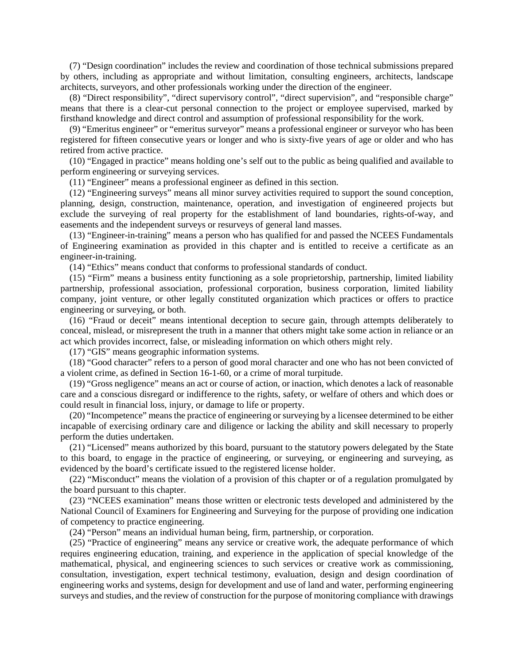(7) "Design coordination" includes the review and coordination of those technical submissions prepared by others, including as appropriate and without limitation, consulting engineers, architects, landscape architects, surveyors, and other professionals working under the direction of the engineer.

(8) "Direct responsibility", "direct supervisory control", "direct supervision", and "responsible charge" means that there is a clear-cut personal connection to the project or employee supervised, marked by firsthand knowledge and direct control and assumption of professional responsibility for the work.

(9) "Emeritus engineer" or "emeritus surveyor" means a professional engineer or surveyor who has been registered for fifteen consecutive years or longer and who is sixty-five years of age or older and who has retired from active practice.

(10) "Engaged in practice" means holding one's self out to the public as being qualified and available to perform engineering or surveying services.

(11) "Engineer" means a professional engineer as defined in this section.

(12) "Engineering surveys" means all minor survey activities required to support the sound conception, planning, design, construction, maintenance, operation, and investigation of engineered projects but exclude the surveying of real property for the establishment of land boundaries, rights-of-way, and easements and the independent surveys or resurveys of general land masses.

(13) "Engineer-in-training" means a person who has qualified for and passed the NCEES Fundamentals of Engineering examination as provided in this chapter and is entitled to receive a certificate as an engineer-in-training.

(14) "Ethics" means conduct that conforms to professional standards of conduct.

(15) "Firm" means a business entity functioning as a sole proprietorship, partnership, limited liability partnership, professional association, professional corporation, business corporation, limited liability company, joint venture, or other legally constituted organization which practices or offers to practice engineering or surveying, or both.

(16) "Fraud or deceit" means intentional deception to secure gain, through attempts deliberately to conceal, mislead, or misrepresent the truth in a manner that others might take some action in reliance or an act which provides incorrect, false, or misleading information on which others might rely.

(17) "GIS" means geographic information systems.

(18) "Good character" refers to a person of good moral character and one who has not been convicted of a violent crime, as defined in Section 16-1-60, or a crime of moral turpitude.

(19) "Gross negligence" means an act or course of action, or inaction, which denotes a lack of reasonable care and a conscious disregard or indifference to the rights, safety, or welfare of others and which does or could result in financial loss, injury, or damage to life or property.

(20) "Incompetence" means the practice of engineering or surveying by a licensee determined to be either incapable of exercising ordinary care and diligence or lacking the ability and skill necessary to properly perform the duties undertaken.

(21) "Licensed" means authorized by this board, pursuant to the statutory powers delegated by the State to this board, to engage in the practice of engineering, or surveying, or engineering and surveying, as evidenced by the board's certificate issued to the registered license holder.

(22) "Misconduct" means the violation of a provision of this chapter or of a regulation promulgated by the board pursuant to this chapter.

(23) "NCEES examination" means those written or electronic tests developed and administered by the National Council of Examiners for Engineering and Surveying for the purpose of providing one indication of competency to practice engineering.

(24) "Person" means an individual human being, firm, partnership, or corporation.

(25) "Practice of engineering" means any service or creative work, the adequate performance of which requires engineering education, training, and experience in the application of special knowledge of the mathematical, physical, and engineering sciences to such services or creative work as commissioning, consultation, investigation, expert technical testimony, evaluation, design and design coordination of engineering works and systems, design for development and use of land and water, performing engineering surveys and studies, and the review of construction for the purpose of monitoring compliance with drawings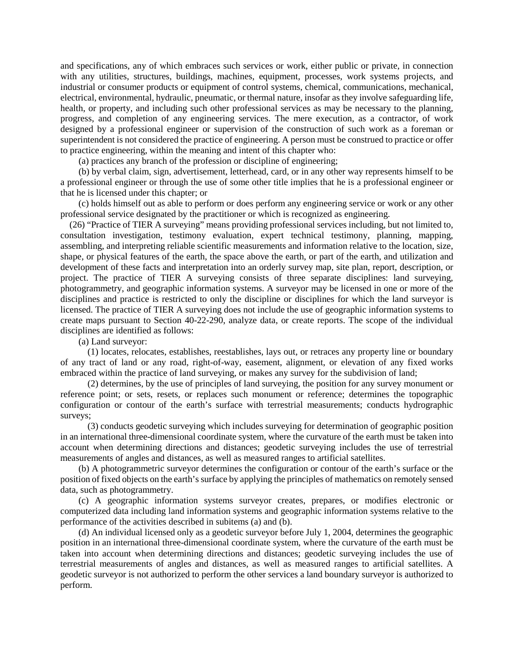and specifications, any of which embraces such services or work, either public or private, in connection with any utilities, structures, buildings, machines, equipment, processes, work systems projects, and industrial or consumer products or equipment of control systems, chemical, communications, mechanical, electrical, environmental, hydraulic, pneumatic, or thermal nature, insofar as they involve safeguarding life, health, or property, and including such other professional services as may be necessary to the planning, progress, and completion of any engineering services. The mere execution, as a contractor, of work designed by a professional engineer or supervision of the construction of such work as a foreman or superintendent is not considered the practice of engineering. A person must be construed to practice or offer to practice engineering, within the meaning and intent of this chapter who:

(a) practices any branch of the profession or discipline of engineering;

(b) by verbal claim, sign, advertisement, letterhead, card, or in any other way represents himself to be a professional engineer or through the use of some other title implies that he is a professional engineer or that he is licensed under this chapter; or

(c) holds himself out as able to perform or does perform any engineering service or work or any other professional service designated by the practitioner or which is recognized as engineering.

(26) "Practice of TIER A surveying" means providing professional services including, but not limited to, consultation investigation, testimony evaluation, expert technical testimony, planning, mapping, assembling, and interpreting reliable scientific measurements and information relative to the location, size, shape, or physical features of the earth, the space above the earth, or part of the earth, and utilization and development of these facts and interpretation into an orderly survey map, site plan, report, description, or project. The practice of TIER A surveying consists of three separate disciplines: land surveying, photogrammetry, and geographic information systems. A surveyor may be licensed in one or more of the disciplines and practice is restricted to only the discipline or disciplines for which the land surveyor is licensed. The practice of TIER A surveying does not include the use of geographic information systems to create maps pursuant to Section 40-22-290, analyze data, or create reports. The scope of the individual disciplines are identified as follows:

(a) Land surveyor:

(1) locates, relocates, establishes, reestablishes, lays out, or retraces any property line or boundary of any tract of land or any road, right-of-way, easement, alignment, or elevation of any fixed works embraced within the practice of land surveying, or makes any survey for the subdivision of land;

(2) determines, by the use of principles of land surveying, the position for any survey monument or reference point; or sets, resets, or replaces such monument or reference; determines the topographic configuration or contour of the earth's surface with terrestrial measurements; conducts hydrographic surveys;

(3) conducts geodetic surveying which includes surveying for determination of geographic position in an international three-dimensional coordinate system, where the curvature of the earth must be taken into account when determining directions and distances; geodetic surveying includes the use of terrestrial measurements of angles and distances, as well as measured ranges to artificial satellites.

(b) A photogrammetric surveyor determines the configuration or contour of the earth's surface or the position of fixed objects on the earth's surface by applying the principles of mathematics on remotely sensed data, such as photogrammetry.

(c) A geographic information systems surveyor creates, prepares, or modifies electronic or computerized data including land information systems and geographic information systems relative to the performance of the activities described in subitems (a) and (b).

(d) An individual licensed only as a geodetic surveyor before July 1, 2004, determines the geographic position in an international three-dimensional coordinate system, where the curvature of the earth must be taken into account when determining directions and distances; geodetic surveying includes the use of terrestrial measurements of angles and distances, as well as measured ranges to artificial satellites. A geodetic surveyor is not authorized to perform the other services a land boundary surveyor is authorized to perform.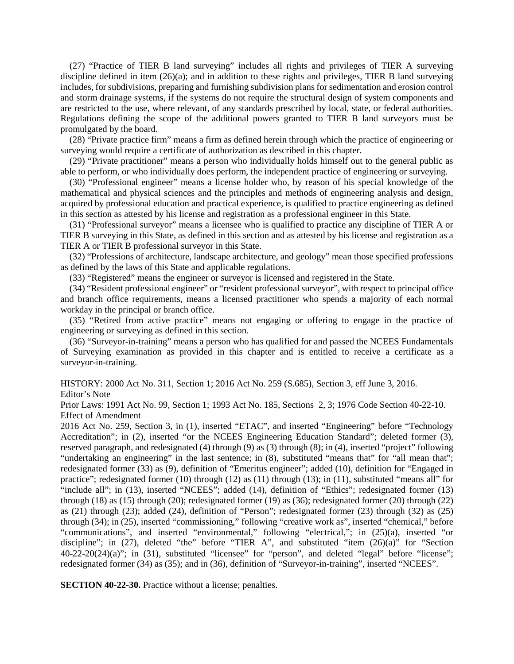(27) "Practice of TIER B land surveying" includes all rights and privileges of TIER A surveying discipline defined in item  $(26)(a)$ ; and in addition to these rights and privileges, TIER B land surveying includes, for subdivisions, preparing and furnishing subdivision plans for sedimentation and erosion control and storm drainage systems, if the systems do not require the structural design of system components and are restricted to the use, where relevant, of any standards prescribed by local, state, or federal authorities. Regulations defining the scope of the additional powers granted to TIER B land surveyors must be promulgated by the board.

(28) "Private practice firm" means a firm as defined herein through which the practice of engineering or surveying would require a certificate of authorization as described in this chapter.

(29) "Private practitioner" means a person who individually holds himself out to the general public as able to perform, or who individually does perform, the independent practice of engineering or surveying.

(30) "Professional engineer" means a license holder who, by reason of his special knowledge of the mathematical and physical sciences and the principles and methods of engineering analysis and design, acquired by professional education and practical experience, is qualified to practice engineering as defined in this section as attested by his license and registration as a professional engineer in this State.

(31) "Professional surveyor" means a licensee who is qualified to practice any discipline of TIER A or TIER B surveying in this State, as defined in this section and as attested by his license and registration as a TIER A or TIER B professional surveyor in this State.

(32) "Professions of architecture, landscape architecture, and geology" mean those specified professions as defined by the laws of this State and applicable regulations.

(33) "Registered" means the engineer or surveyor is licensed and registered in the State.

(34) "Resident professional engineer" or "resident professional surveyor", with respect to principal office and branch office requirements, means a licensed practitioner who spends a majority of each normal workday in the principal or branch office.

(35) "Retired from active practice" means not engaging or offering to engage in the practice of engineering or surveying as defined in this section.

(36) "Surveyor-in-training" means a person who has qualified for and passed the NCEES Fundamentals of Surveying examination as provided in this chapter and is entitled to receive a certificate as a surveyor-in-training.

HISTORY: 2000 Act No. 311, Section 1; 2016 Act No. 259 (S.685), Section 3, eff June 3, 2016.

Editor's Note

Prior Laws: 1991 Act No. 99, Section 1; 1993 Act No. 185, Sections 2, 3; 1976 Code Section 40-22-10. Effect of Amendment

2016 Act No. 259, Section 3, in (1), inserted "ETAC", and inserted "Engineering" before "Technology Accreditation"; in (2), inserted "or the NCEES Engineering Education Standard"; deleted former (3), reserved paragraph, and redesignated (4) through (9) as (3) through (8); in (4), inserted "project" following "undertaking an engineering" in the last sentence; in (8), substituted "means that" for "all mean that"; redesignated former (33) as (9), definition of "Emeritus engineer"; added (10), definition for "Engaged in practice"; redesignated former (10) through (12) as (11) through (13); in (11), substituted "means all" for "include all"; in (13), inserted "NCEES"; added (14), definition of "Ethics"; redesignated former (13) through (18) as (15) through (20); redesignated former (19) as (36); redesignated former (20) through (22) as (21) through (23); added (24), definition of "Person"; redesignated former (23) through (32) as (25) through (34); in (25), inserted "commissioning," following "creative work as", inserted "chemical," before "communications", and inserted "environmental," following "electrical,"; in (25)(a), inserted "or discipline"; in (27), deleted "the" before "TIER A", and substituted "item (26)(a)" for "Section  $40-22-20(24)(a)$ ; in (31), substituted "licensee" for "person", and deleted "legal" before "license"; redesignated former (34) as (35); and in (36), definition of "Surveyor-in-training", inserted "NCEES".

**SECTION 40-22-30.** Practice without a license; penalties.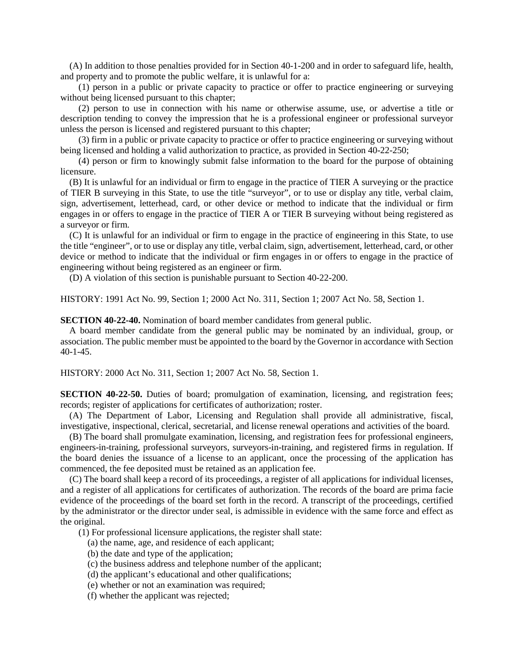(A) In addition to those penalties provided for in Section 40-1-200 and in order to safeguard life, health, and property and to promote the public welfare, it is unlawful for a:

(1) person in a public or private capacity to practice or offer to practice engineering or surveying without being licensed pursuant to this chapter;

(2) person to use in connection with his name or otherwise assume, use, or advertise a title or description tending to convey the impression that he is a professional engineer or professional surveyor unless the person is licensed and registered pursuant to this chapter;

(3) firm in a public or private capacity to practice or offer to practice engineering or surveying without being licensed and holding a valid authorization to practice, as provided in Section 40-22-250;

(4) person or firm to knowingly submit false information to the board for the purpose of obtaining licensure.

(B) It is unlawful for an individual or firm to engage in the practice of TIER A surveying or the practice of TIER B surveying in this State, to use the title "surveyor", or to use or display any title, verbal claim, sign, advertisement, letterhead, card, or other device or method to indicate that the individual or firm engages in or offers to engage in the practice of TIER A or TIER B surveying without being registered as a surveyor or firm.

(C) It is unlawful for an individual or firm to engage in the practice of engineering in this State, to use the title "engineer", or to use or display any title, verbal claim, sign, advertisement, letterhead, card, or other device or method to indicate that the individual or firm engages in or offers to engage in the practice of engineering without being registered as an engineer or firm.

(D) A violation of this section is punishable pursuant to Section 40-22-200.

HISTORY: 1991 Act No. 99, Section 1; 2000 Act No. 311, Section 1; 2007 Act No. 58, Section 1.

**SECTION 40-22-40.** Nomination of board member candidates from general public.

A board member candidate from the general public may be nominated by an individual, group, or association. The public member must be appointed to the board by the Governor in accordance with Section 40-1-45.

HISTORY: 2000 Act No. 311, Section 1; 2007 Act No. 58, Section 1.

**SECTION 40-22-50.** Duties of board; promulgation of examination, licensing, and registration fees; records; register of applications for certificates of authorization; roster.

(A) The Department of Labor, Licensing and Regulation shall provide all administrative, fiscal, investigative, inspectional, clerical, secretarial, and license renewal operations and activities of the board.

(B) The board shall promulgate examination, licensing, and registration fees for professional engineers, engineers-in-training, professional surveyors, surveyors-in-training, and registered firms in regulation. If the board denies the issuance of a license to an applicant, once the processing of the application has commenced, the fee deposited must be retained as an application fee.

(C) The board shall keep a record of its proceedings, a register of all applications for individual licenses, and a register of all applications for certificates of authorization. The records of the board are prima facie evidence of the proceedings of the board set forth in the record. A transcript of the proceedings, certified by the administrator or the director under seal, is admissible in evidence with the same force and effect as the original.

(1) For professional licensure applications, the register shall state:

(a) the name, age, and residence of each applicant;

- (b) the date and type of the application;
- (c) the business address and telephone number of the applicant;
- (d) the applicant's educational and other qualifications;
- (e) whether or not an examination was required;
- (f) whether the applicant was rejected;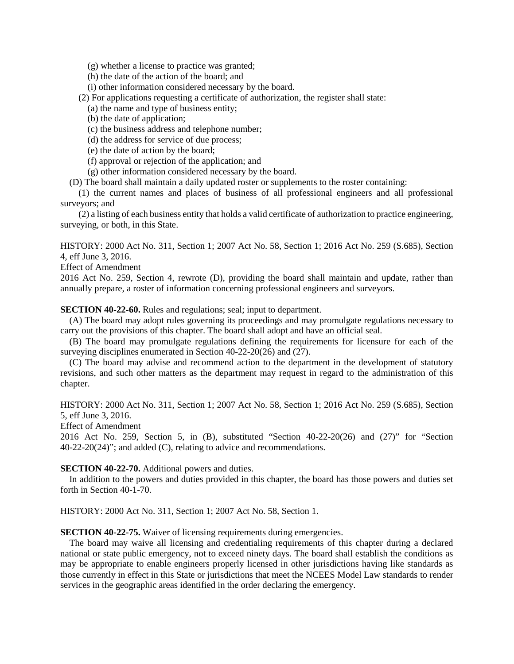- (g) whether a license to practice was granted;
- (h) the date of the action of the board; and
- (i) other information considered necessary by the board.
- (2) For applications requesting a certificate of authorization, the register shall state:
	- (a) the name and type of business entity;
	- (b) the date of application;
	- (c) the business address and telephone number;
	- (d) the address for service of due process;
	- (e) the date of action by the board;
	- (f) approval or rejection of the application; and
	- (g) other information considered necessary by the board.
- (D) The board shall maintain a daily updated roster or supplements to the roster containing:

(1) the current names and places of business of all professional engineers and all professional surveyors; and

(2) a listing of each business entity that holds a valid certificate of authorization to practice engineering, surveying, or both, in this State.

HISTORY: 2000 Act No. 311, Section 1; 2007 Act No. 58, Section 1; 2016 Act No. 259 (S.685), Section 4, eff June 3, 2016.

Effect of Amendment

2016 Act No. 259, Section 4, rewrote (D), providing the board shall maintain and update, rather than annually prepare, a roster of information concerning professional engineers and surveyors.

### **SECTION 40-22-60.** Rules and regulations; seal; input to department.

(A) The board may adopt rules governing its proceedings and may promulgate regulations necessary to carry out the provisions of this chapter. The board shall adopt and have an official seal.

(B) The board may promulgate regulations defining the requirements for licensure for each of the surveying disciplines enumerated in Section 40-22-20(26) and (27).

(C) The board may advise and recommend action to the department in the development of statutory revisions, and such other matters as the department may request in regard to the administration of this chapter.

HISTORY: 2000 Act No. 311, Section 1; 2007 Act No. 58, Section 1; 2016 Act No. 259 (S.685), Section 5, eff June 3, 2016.

Effect of Amendment

2016 Act No. 259, Section 5, in (B), substituted "Section 40-22-20(26) and (27)" for "Section 40-22-20(24)"; and added (C), relating to advice and recommendations.

#### **SECTION 40-22-70.** Additional powers and duties.

In addition to the powers and duties provided in this chapter, the board has those powers and duties set forth in Section 40-1-70.

HISTORY: 2000 Act No. 311, Section 1; 2007 Act No. 58, Section 1.

### **SECTION 40-22-75.** Waiver of licensing requirements during emergencies.

The board may waive all licensing and credentialing requirements of this chapter during a declared national or state public emergency, not to exceed ninety days. The board shall establish the conditions as may be appropriate to enable engineers properly licensed in other jurisdictions having like standards as those currently in effect in this State or jurisdictions that meet the NCEES Model Law standards to render services in the geographic areas identified in the order declaring the emergency.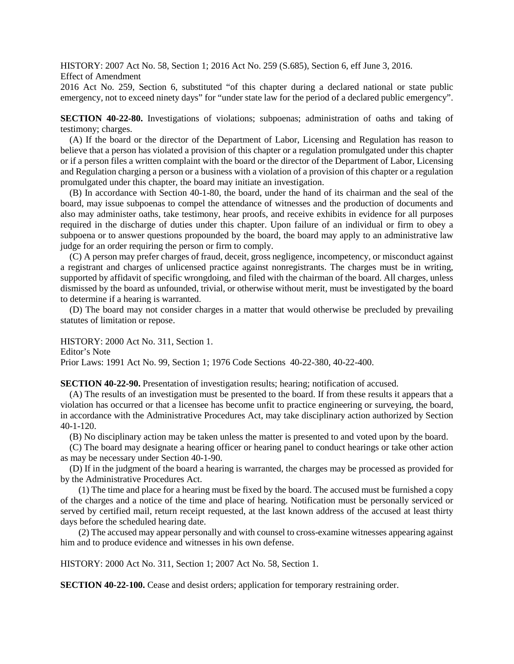HISTORY: 2007 Act No. 58, Section 1; 2016 Act No. 259 (S.685), Section 6, eff June 3, 2016. Effect of Amendment

2016 Act No. 259, Section 6, substituted "of this chapter during a declared national or state public emergency, not to exceed ninety days" for "under state law for the period of a declared public emergency".

**SECTION 40-22-80.** Investigations of violations; subpoenas; administration of oaths and taking of testimony; charges.

(A) If the board or the director of the Department of Labor, Licensing and Regulation has reason to believe that a person has violated a provision of this chapter or a regulation promulgated under this chapter or if a person files a written complaint with the board or the director of the Department of Labor, Licensing and Regulation charging a person or a business with a violation of a provision of this chapter or a regulation promulgated under this chapter, the board may initiate an investigation.

(B) In accordance with Section 40-1-80, the board, under the hand of its chairman and the seal of the board, may issue subpoenas to compel the attendance of witnesses and the production of documents and also may administer oaths, take testimony, hear proofs, and receive exhibits in evidence for all purposes required in the discharge of duties under this chapter. Upon failure of an individual or firm to obey a subpoena or to answer questions propounded by the board, the board may apply to an administrative law judge for an order requiring the person or firm to comply.

(C) A person may prefer charges of fraud, deceit, gross negligence, incompetency, or misconduct against a registrant and charges of unlicensed practice against nonregistrants. The charges must be in writing, supported by affidavit of specific wrongdoing, and filed with the chairman of the board. All charges, unless dismissed by the board as unfounded, trivial, or otherwise without merit, must be investigated by the board to determine if a hearing is warranted.

(D) The board may not consider charges in a matter that would otherwise be precluded by prevailing statutes of limitation or repose.

HISTORY: 2000 Act No. 311, Section 1. Editor's Note Prior Laws: 1991 Act No. 99, Section 1; 1976 Code Sections 40-22-380, 40-22-400.

**SECTION 40-22-90.** Presentation of investigation results; hearing; notification of accused.

(A) The results of an investigation must be presented to the board. If from these results it appears that a violation has occurred or that a licensee has become unfit to practice engineering or surveying, the board, in accordance with the Administrative Procedures Act, may take disciplinary action authorized by Section 40-1-120.

(B) No disciplinary action may be taken unless the matter is presented to and voted upon by the board.

(C) The board may designate a hearing officer or hearing panel to conduct hearings or take other action as may be necessary under Section 40-1-90.

(D) If in the judgment of the board a hearing is warranted, the charges may be processed as provided for by the Administrative Procedures Act.

(1) The time and place for a hearing must be fixed by the board. The accused must be furnished a copy of the charges and a notice of the time and place of hearing. Notification must be personally serviced or served by certified mail, return receipt requested, at the last known address of the accused at least thirty days before the scheduled hearing date.

(2) The accused may appear personally and with counsel to cross-examine witnesses appearing against him and to produce evidence and witnesses in his own defense.

HISTORY: 2000 Act No. 311, Section 1; 2007 Act No. 58, Section 1.

**SECTION 40-22-100.** Cease and desist orders; application for temporary restraining order.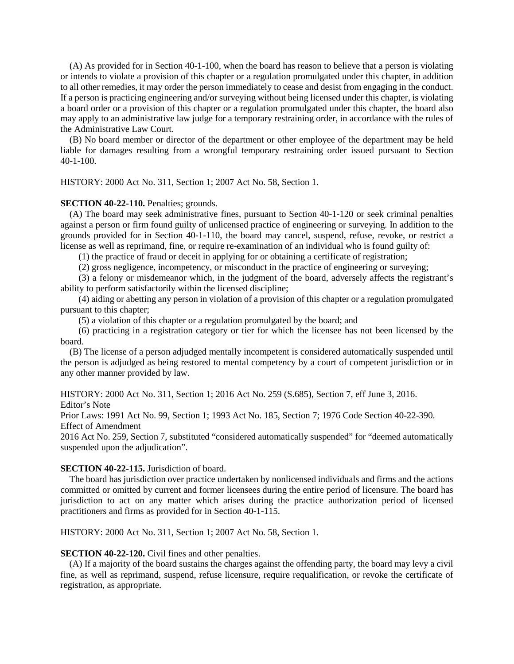(A) As provided for in Section 40-1-100, when the board has reason to believe that a person is violating or intends to violate a provision of this chapter or a regulation promulgated under this chapter, in addition to all other remedies, it may order the person immediately to cease and desist from engaging in the conduct. If a person is practicing engineering and/or surveying without being licensed under this chapter, is violating a board order or a provision of this chapter or a regulation promulgated under this chapter, the board also may apply to an administrative law judge for a temporary restraining order, in accordance with the rules of the Administrative Law Court.

(B) No board member or director of the department or other employee of the department may be held liable for damages resulting from a wrongful temporary restraining order issued pursuant to Section 40-1-100.

HISTORY: 2000 Act No. 311, Section 1; 2007 Act No. 58, Section 1.

## **SECTION 40-22-110.** Penalties; grounds.

(A) The board may seek administrative fines, pursuant to Section 40-1-120 or seek criminal penalties against a person or firm found guilty of unlicensed practice of engineering or surveying. In addition to the grounds provided for in Section 40-1-110, the board may cancel, suspend, refuse, revoke, or restrict a license as well as reprimand, fine, or require re-examination of an individual who is found guilty of:

(1) the practice of fraud or deceit in applying for or obtaining a certificate of registration;

(2) gross negligence, incompetency, or misconduct in the practice of engineering or surveying;

(3) a felony or misdemeanor which, in the judgment of the board, adversely affects the registrant's ability to perform satisfactorily within the licensed discipline;

(4) aiding or abetting any person in violation of a provision of this chapter or a regulation promulgated pursuant to this chapter;

(5) a violation of this chapter or a regulation promulgated by the board; and

(6) practicing in a registration category or tier for which the licensee has not been licensed by the board.

(B) The license of a person adjudged mentally incompetent is considered automatically suspended until the person is adjudged as being restored to mental competency by a court of competent jurisdiction or in any other manner provided by law.

HISTORY: 2000 Act No. 311, Section 1; 2016 Act No. 259 (S.685), Section 7, eff June 3, 2016. Editor's Note

Prior Laws: 1991 Act No. 99, Section 1; 1993 Act No. 185, Section 7; 1976 Code Section 40-22-390. Effect of Amendment

2016 Act No. 259, Section 7, substituted "considered automatically suspended" for "deemed automatically suspended upon the adjudication".

# **SECTION 40-22-115.** Jurisdiction of board.

The board has jurisdiction over practice undertaken by nonlicensed individuals and firms and the actions committed or omitted by current and former licensees during the entire period of licensure. The board has jurisdiction to act on any matter which arises during the practice authorization period of licensed practitioners and firms as provided for in Section 40-1-115.

HISTORY: 2000 Act No. 311, Section 1; 2007 Act No. 58, Section 1.

# **SECTION 40-22-120.** Civil fines and other penalties.

(A) If a majority of the board sustains the charges against the offending party, the board may levy a civil fine, as well as reprimand, suspend, refuse licensure, require requalification, or revoke the certificate of registration, as appropriate.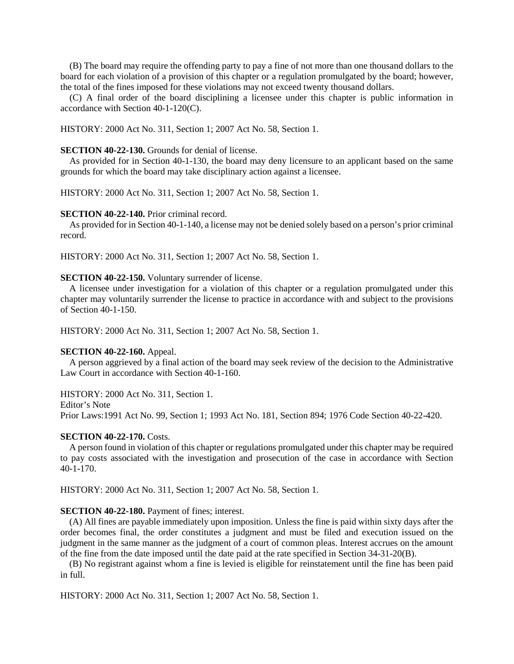(B) The board may require the offending party to pay a fine of not more than one thousand dollars to the board for each violation of a provision of this chapter or a regulation promulgated by the board; however, the total of the fines imposed for these violations may not exceed twenty thousand dollars.

(C) A final order of the board disciplining a licensee under this chapter is public information in accordance with Section 40-1-120(C).

HISTORY: 2000 Act No. 311, Section 1; 2007 Act No. 58, Section 1.

#### **SECTION 40-22-130.** Grounds for denial of license.

As provided for in Section 40-1-130, the board may deny licensure to an applicant based on the same grounds for which the board may take disciplinary action against a licensee.

HISTORY: 2000 Act No. 311, Section 1; 2007 Act No. 58, Section 1.

#### **SECTION 40-22-140.** Prior criminal record.

As provided for in Section 40-1-140, a license may not be denied solely based on a person's prior criminal record.

HISTORY: 2000 Act No. 311, Section 1; 2007 Act No. 58, Section 1.

# **SECTION 40-22-150.** Voluntary surrender of license.

A licensee under investigation for a violation of this chapter or a regulation promulgated under this chapter may voluntarily surrender the license to practice in accordance with and subject to the provisions of Section 40-1-150.

HISTORY: 2000 Act No. 311, Section 1; 2007 Act No. 58, Section 1.

#### **SECTION 40-22-160.** Appeal.

A person aggrieved by a final action of the board may seek review of the decision to the Administrative Law Court in accordance with Section 40-1-160.

HISTORY: 2000 Act No. 311, Section 1.

Editor's Note

Prior Laws:1991 Act No. 99, Section 1; 1993 Act No. 181, Section 894; 1976 Code Section 40-22-420.

#### **SECTION 40-22-170.** Costs.

A person found in violation of this chapter or regulations promulgated under this chapter may be required to pay costs associated with the investigation and prosecution of the case in accordance with Section 40-1-170.

HISTORY: 2000 Act No. 311, Section 1; 2007 Act No. 58, Section 1.

### **SECTION 40-22-180.** Payment of fines; interest.

(A) All fines are payable immediately upon imposition. Unless the fine is paid within sixty days after the order becomes final, the order constitutes a judgment and must be filed and execution issued on the judgment in the same manner as the judgment of a court of common pleas. Interest accrues on the amount of the fine from the date imposed until the date paid at the rate specified in Section 34-31-20(B).

(B) No registrant against whom a fine is levied is eligible for reinstatement until the fine has been paid in full.

HISTORY: 2000 Act No. 311, Section 1; 2007 Act No. 58, Section 1.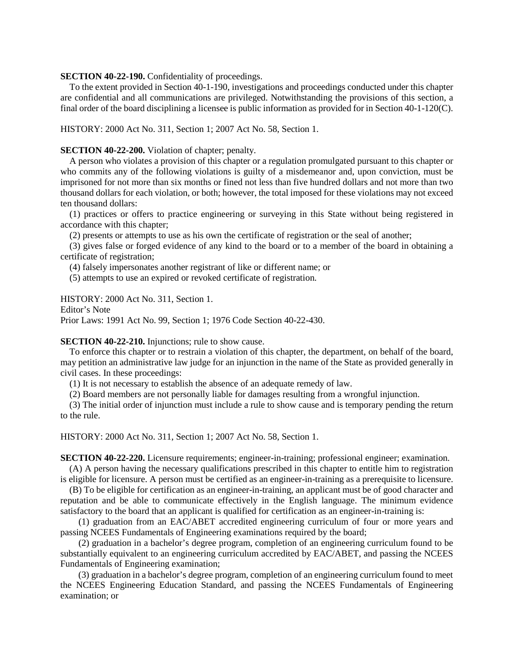#### **SECTION 40-22-190.** Confidentiality of proceedings.

To the extent provided in Section 40-1-190, investigations and proceedings conducted under this chapter are confidential and all communications are privileged. Notwithstanding the provisions of this section, a final order of the board disciplining a licensee is public information as provided for in Section 40-1-120(C).

HISTORY: 2000 Act No. 311, Section 1; 2007 Act No. 58, Section 1.

#### **SECTION 40-22-200.** Violation of chapter; penalty.

A person who violates a provision of this chapter or a regulation promulgated pursuant to this chapter or who commits any of the following violations is guilty of a misdemeanor and, upon conviction, must be imprisoned for not more than six months or fined not less than five hundred dollars and not more than two thousand dollars for each violation, or both; however, the total imposed for these violations may not exceed ten thousand dollars:

(1) practices or offers to practice engineering or surveying in this State without being registered in accordance with this chapter;

(2) presents or attempts to use as his own the certificate of registration or the seal of another;

(3) gives false or forged evidence of any kind to the board or to a member of the board in obtaining a certificate of registration;

(4) falsely impersonates another registrant of like or different name; or

(5) attempts to use an expired or revoked certificate of registration.

HISTORY: 2000 Act No. 311, Section 1.

Editor's Note

Prior Laws: 1991 Act No. 99, Section 1; 1976 Code Section 40-22-430.

## **SECTION 40-22-210.** Injunctions; rule to show cause.

To enforce this chapter or to restrain a violation of this chapter, the department, on behalf of the board, may petition an administrative law judge for an injunction in the name of the State as provided generally in civil cases. In these proceedings:

(1) It is not necessary to establish the absence of an adequate remedy of law.

(2) Board members are not personally liable for damages resulting from a wrongful injunction.

(3) The initial order of injunction must include a rule to show cause and is temporary pending the return to the rule.

HISTORY: 2000 Act No. 311, Section 1; 2007 Act No. 58, Section 1.

**SECTION 40-22-220.** Licensure requirements; engineer-in-training; professional engineer; examination.

(A) A person having the necessary qualifications prescribed in this chapter to entitle him to registration is eligible for licensure. A person must be certified as an engineer-in-training as a prerequisite to licensure.

(B) To be eligible for certification as an engineer-in-training, an applicant must be of good character and reputation and be able to communicate effectively in the English language. The minimum evidence satisfactory to the board that an applicant is qualified for certification as an engineer-in-training is:

(1) graduation from an EAC/ABET accredited engineering curriculum of four or more years and passing NCEES Fundamentals of Engineering examinations required by the board;

(2) graduation in a bachelor's degree program, completion of an engineering curriculum found to be substantially equivalent to an engineering curriculum accredited by EAC/ABET, and passing the NCEES Fundamentals of Engineering examination;

(3) graduation in a bachelor's degree program, completion of an engineering curriculum found to meet the NCEES Engineering Education Standard, and passing the NCEES Fundamentals of Engineering examination; or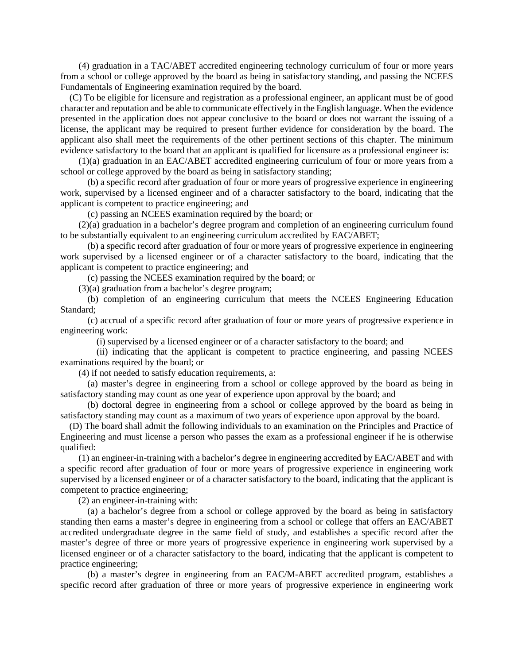(4) graduation in a TAC/ABET accredited engineering technology curriculum of four or more years from a school or college approved by the board as being in satisfactory standing, and passing the NCEES Fundamentals of Engineering examination required by the board.

(C) To be eligible for licensure and registration as a professional engineer, an applicant must be of good character and reputation and be able to communicate effectively in the English language. When the evidence presented in the application does not appear conclusive to the board or does not warrant the issuing of a license, the applicant may be required to present further evidence for consideration by the board. The applicant also shall meet the requirements of the other pertinent sections of this chapter. The minimum evidence satisfactory to the board that an applicant is qualified for licensure as a professional engineer is:

(1)(a) graduation in an EAC/ABET accredited engineering curriculum of four or more years from a school or college approved by the board as being in satisfactory standing;

(b) a specific record after graduation of four or more years of progressive experience in engineering work, supervised by a licensed engineer and of a character satisfactory to the board, indicating that the applicant is competent to practice engineering; and

(c) passing an NCEES examination required by the board; or

(2)(a) graduation in a bachelor's degree program and completion of an engineering curriculum found to be substantially equivalent to an engineering curriculum accredited by EAC/ABET;

(b) a specific record after graduation of four or more years of progressive experience in engineering work supervised by a licensed engineer or of a character satisfactory to the board, indicating that the applicant is competent to practice engineering; and

(c) passing the NCEES examination required by the board; or

(3)(a) graduation from a bachelor's degree program;

(b) completion of an engineering curriculum that meets the NCEES Engineering Education Standard;

(c) accrual of a specific record after graduation of four or more years of progressive experience in engineering work:

(i) supervised by a licensed engineer or of a character satisfactory to the board; and

(ii) indicating that the applicant is competent to practice engineering, and passing NCEES examinations required by the board; or

(4) if not needed to satisfy education requirements, a:

(a) master's degree in engineering from a school or college approved by the board as being in satisfactory standing may count as one year of experience upon approval by the board; and

(b) doctoral degree in engineering from a school or college approved by the board as being in satisfactory standing may count as a maximum of two years of experience upon approval by the board.

(D) The board shall admit the following individuals to an examination on the Principles and Practice of Engineering and must license a person who passes the exam as a professional engineer if he is otherwise qualified:

(1) an engineer-in-training with a bachelor's degree in engineering accredited by EAC/ABET and with a specific record after graduation of four or more years of progressive experience in engineering work supervised by a licensed engineer or of a character satisfactory to the board, indicating that the applicant is competent to practice engineering;

(2) an engineer-in-training with:

(a) a bachelor's degree from a school or college approved by the board as being in satisfactory standing then earns a master's degree in engineering from a school or college that offers an EAC/ABET accredited undergraduate degree in the same field of study, and establishes a specific record after the master's degree of three or more years of progressive experience in engineering work supervised by a licensed engineer or of a character satisfactory to the board, indicating that the applicant is competent to practice engineering;

(b) a master's degree in engineering from an EAC/M-ABET accredited program, establishes a specific record after graduation of three or more years of progressive experience in engineering work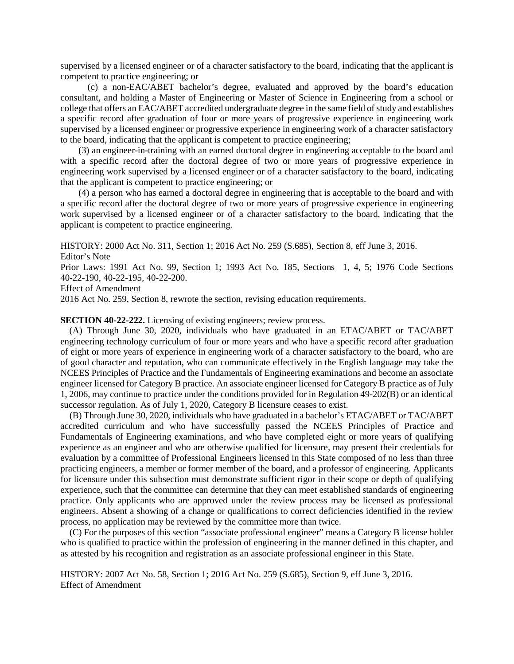supervised by a licensed engineer or of a character satisfactory to the board, indicating that the applicant is competent to practice engineering; or

(c) a non-EAC/ABET bachelor's degree, evaluated and approved by the board's education consultant, and holding a Master of Engineering or Master of Science in Engineering from a school or college that offers an EAC/ABET accredited undergraduate degree in the same field of study and establishes a specific record after graduation of four or more years of progressive experience in engineering work supervised by a licensed engineer or progressive experience in engineering work of a character satisfactory to the board, indicating that the applicant is competent to practice engineering;

(3) an engineer-in-training with an earned doctoral degree in engineering acceptable to the board and with a specific record after the doctoral degree of two or more years of progressive experience in engineering work supervised by a licensed engineer or of a character satisfactory to the board, indicating that the applicant is competent to practice engineering; or

(4) a person who has earned a doctoral degree in engineering that is acceptable to the board and with a specific record after the doctoral degree of two or more years of progressive experience in engineering work supervised by a licensed engineer or of a character satisfactory to the board, indicating that the applicant is competent to practice engineering.

HISTORY: 2000 Act No. 311, Section 1; 2016 Act No. 259 (S.685), Section 8, eff June 3, 2016. Editor's Note

Prior Laws: 1991 Act No. 99, Section 1; 1993 Act No. 185, Sections 1, 4, 5; 1976 Code Sections 40-22-190, 40-22-195, 40-22-200.

Effect of Amendment

2016 Act No. 259, Section 8, rewrote the section, revising education requirements.

#### **SECTION 40-22-222.** Licensing of existing engineers; review process.

(A) Through June 30, 2020, individuals who have graduated in an ETAC/ABET or TAC/ABET engineering technology curriculum of four or more years and who have a specific record after graduation of eight or more years of experience in engineering work of a character satisfactory to the board, who are of good character and reputation, who can communicate effectively in the English language may take the NCEES Principles of Practice and the Fundamentals of Engineering examinations and become an associate engineer licensed for Category B practice. An associate engineer licensed for Category B practice as of July 1, 2006, may continue to practice under the conditions provided for in Regulation 49-202(B) or an identical successor regulation. As of July 1, 2020, Category B licensure ceases to exist.

(B) Through June 30, 2020, individuals who have graduated in a bachelor's ETAC/ABET or TAC/ABET accredited curriculum and who have successfully passed the NCEES Principles of Practice and Fundamentals of Engineering examinations, and who have completed eight or more years of qualifying experience as an engineer and who are otherwise qualified for licensure, may present their credentials for evaluation by a committee of Professional Engineers licensed in this State composed of no less than three practicing engineers, a member or former member of the board, and a professor of engineering. Applicants for licensure under this subsection must demonstrate sufficient rigor in their scope or depth of qualifying experience, such that the committee can determine that they can meet established standards of engineering practice. Only applicants who are approved under the review process may be licensed as professional engineers. Absent a showing of a change or qualifications to correct deficiencies identified in the review process, no application may be reviewed by the committee more than twice.

(C) For the purposes of this section "associate professional engineer" means a Category B license holder who is qualified to practice within the profession of engineering in the manner defined in this chapter, and as attested by his recognition and registration as an associate professional engineer in this State.

HISTORY: 2007 Act No. 58, Section 1; 2016 Act No. 259 (S.685), Section 9, eff June 3, 2016. Effect of Amendment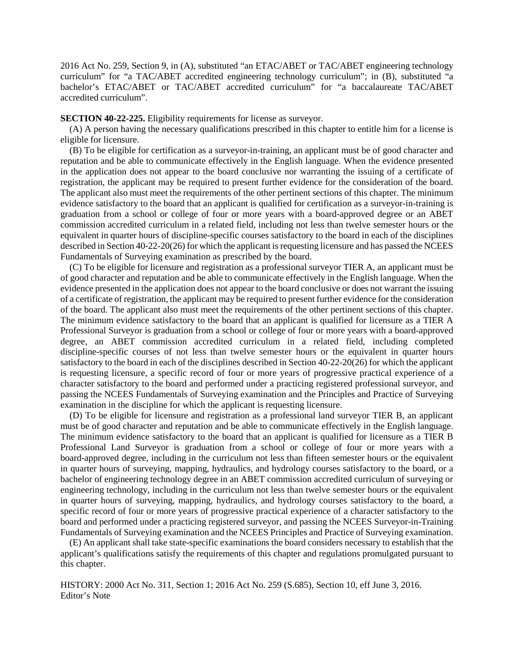2016 Act No. 259, Section 9, in (A), substituted "an ETAC/ABET or TAC/ABET engineering technology curriculum" for "a TAC/ABET accredited engineering technology curriculum"; in (B), substituted "a bachelor's ETAC/ABET or TAC/ABET accredited curriculum" for "a baccalaureate TAC/ABET accredited curriculum".

**SECTION 40-22-225.** Eligibility requirements for license as surveyor.

(A) A person having the necessary qualifications prescribed in this chapter to entitle him for a license is eligible for licensure.

(B) To be eligible for certification as a surveyor-in-training, an applicant must be of good character and reputation and be able to communicate effectively in the English language. When the evidence presented in the application does not appear to the board conclusive nor warranting the issuing of a certificate of registration, the applicant may be required to present further evidence for the consideration of the board. The applicant also must meet the requirements of the other pertinent sections of this chapter. The minimum evidence satisfactory to the board that an applicant is qualified for certification as a surveyor-in-training is graduation from a school or college of four or more years with a board-approved degree or an ABET commission accredited curriculum in a related field, including not less than twelve semester hours or the equivalent in quarter hours of discipline-specific courses satisfactory to the board in each of the disciplines described in Section 40-22-20(26) for which the applicant is requesting licensure and has passed the NCEES Fundamentals of Surveying examination as prescribed by the board.

(C) To be eligible for licensure and registration as a professional surveyor TIER A, an applicant must be of good character and reputation and be able to communicate effectively in the English language. When the evidence presented in the application does not appear to the board conclusive or does not warrant the issuing of a certificate of registration, the applicant may be required to present further evidence for the consideration of the board. The applicant also must meet the requirements of the other pertinent sections of this chapter. The minimum evidence satisfactory to the board that an applicant is qualified for licensure as a TIER A Professional Surveyor is graduation from a school or college of four or more years with a board-approved degree, an ABET commission accredited curriculum in a related field, including completed discipline-specific courses of not less than twelve semester hours or the equivalent in quarter hours satisfactory to the board in each of the disciplines described in Section 40-22-20(26) for which the applicant is requesting licensure, a specific record of four or more years of progressive practical experience of a character satisfactory to the board and performed under a practicing registered professional surveyor, and passing the NCEES Fundamentals of Surveying examination and the Principles and Practice of Surveying examination in the discipline for which the applicant is requesting licensure.

(D) To be eligible for licensure and registration as a professional land surveyor TIER B, an applicant must be of good character and reputation and be able to communicate effectively in the English language. The minimum evidence satisfactory to the board that an applicant is qualified for licensure as a TIER B Professional Land Surveyor is graduation from a school or college of four or more years with a board-approved degree, including in the curriculum not less than fifteen semester hours or the equivalent in quarter hours of surveying, mapping, hydraulics, and hydrology courses satisfactory to the board, or a bachelor of engineering technology degree in an ABET commission accredited curriculum of surveying or engineering technology, including in the curriculum not less than twelve semester hours or the equivalent in quarter hours of surveying, mapping, hydraulics, and hydrology courses satisfactory to the board, a specific record of four or more years of progressive practical experience of a character satisfactory to the board and performed under a practicing registered surveyor, and passing the NCEES Surveyor-in-Training Fundamentals of Surveying examination and the NCEES Principles and Practice of Surveying examination.

(E) An applicant shall take state-specific examinations the board considers necessary to establish that the applicant's qualifications satisfy the requirements of this chapter and regulations promulgated pursuant to this chapter.

HISTORY: 2000 Act No. 311, Section 1; 2016 Act No. 259 (S.685), Section 10, eff June 3, 2016. Editor's Note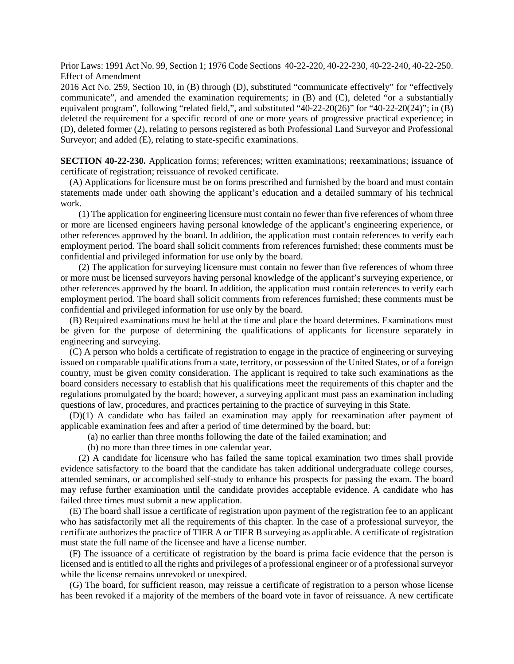Prior Laws: 1991 Act No. 99, Section 1; 1976 Code Sections 40-22-220, 40-22-230, 40-22-240, 40-22-250. Effect of Amendment

2016 Act No. 259, Section 10, in (B) through (D), substituted "communicate effectively" for "effectively communicate", and amended the examination requirements; in (B) and (C), deleted "or a substantially equivalent program", following "related field,", and substituted "40-22-20(26)" for "40-22-20(24)"; in (B) deleted the requirement for a specific record of one or more years of progressive practical experience; in (D), deleted former (2), relating to persons registered as both Professional Land Surveyor and Professional Surveyor; and added (E), relating to state-specific examinations.

**SECTION 40-22-230.** Application forms; references; written examinations; reexaminations; issuance of certificate of registration; reissuance of revoked certificate.

(A) Applications for licensure must be on forms prescribed and furnished by the board and must contain statements made under oath showing the applicant's education and a detailed summary of his technical work.

(1) The application for engineering licensure must contain no fewer than five references of whom three or more are licensed engineers having personal knowledge of the applicant's engineering experience, or other references approved by the board. In addition, the application must contain references to verify each employment period. The board shall solicit comments from references furnished; these comments must be confidential and privileged information for use only by the board.

(2) The application for surveying licensure must contain no fewer than five references of whom three or more must be licensed surveyors having personal knowledge of the applicant's surveying experience, or other references approved by the board. In addition, the application must contain references to verify each employment period. The board shall solicit comments from references furnished; these comments must be confidential and privileged information for use only by the board.

(B) Required examinations must be held at the time and place the board determines. Examinations must be given for the purpose of determining the qualifications of applicants for licensure separately in engineering and surveying.

(C) A person who holds a certificate of registration to engage in the practice of engineering or surveying issued on comparable qualifications from a state, territory, or possession of the United States, or of a foreign country, must be given comity consideration. The applicant is required to take such examinations as the board considers necessary to establish that his qualifications meet the requirements of this chapter and the regulations promulgated by the board; however, a surveying applicant must pass an examination including questions of law, procedures, and practices pertaining to the practice of surveying in this State.

(D)(1) A candidate who has failed an examination may apply for reexamination after payment of applicable examination fees and after a period of time determined by the board, but:

(a) no earlier than three months following the date of the failed examination; and

(b) no more than three times in one calendar year.

(2) A candidate for licensure who has failed the same topical examination two times shall provide evidence satisfactory to the board that the candidate has taken additional undergraduate college courses, attended seminars, or accomplished self-study to enhance his prospects for passing the exam. The board may refuse further examination until the candidate provides acceptable evidence. A candidate who has failed three times must submit a new application.

(E) The board shall issue a certificate of registration upon payment of the registration fee to an applicant who has satisfactorily met all the requirements of this chapter. In the case of a professional surveyor, the certificate authorizes the practice of TIER A or TIER B surveying as applicable. A certificate of registration must state the full name of the licensee and have a license number.

(F) The issuance of a certificate of registration by the board is prima facie evidence that the person is licensed and is entitled to all the rights and privileges of a professional engineer or of a professional surveyor while the license remains unrevoked or unexpired.

(G) The board, for sufficient reason, may reissue a certificate of registration to a person whose license has been revoked if a majority of the members of the board vote in favor of reissuance. A new certificate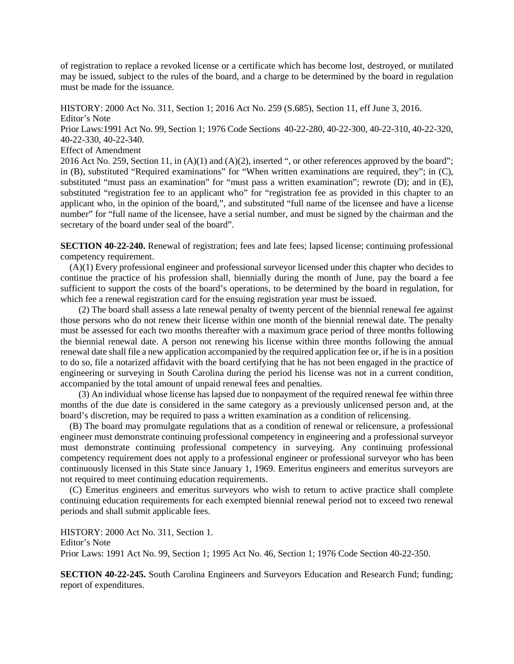of registration to replace a revoked license or a certificate which has become lost, destroyed, or mutilated may be issued, subject to the rules of the board, and a charge to be determined by the board in regulation must be made for the issuance.

HISTORY: 2000 Act No. 311, Section 1; 2016 Act No. 259 (S.685), Section 11, eff June 3, 2016. Editor's Note

Prior Laws:1991 Act No. 99, Section 1; 1976 Code Sections 40-22-280, 40-22-300, 40-22-310, 40-22-320, 40-22-330, 40-22-340.

Effect of Amendment

2016 Act No. 259, Section 11, in (A)(1) and (A)(2), inserted ", or other references approved by the board"; in (B), substituted "Required examinations" for "When written examinations are required, they"; in (C), substituted "must pass an examination" for "must pass a written examination"; rewrote (D); and in (E), substituted "registration fee to an applicant who" for "registration fee as provided in this chapter to an applicant who, in the opinion of the board,", and substituted "full name of the licensee and have a license number" for "full name of the licensee, have a serial number, and must be signed by the chairman and the secretary of the board under seal of the board".

**SECTION 40-22-240.** Renewal of registration; fees and late fees; lapsed license; continuing professional competency requirement.

(A)(1) Every professional engineer and professional surveyor licensed under this chapter who decides to continue the practice of his profession shall, biennially during the month of June, pay the board a fee sufficient to support the costs of the board's operations, to be determined by the board in regulation, for which fee a renewal registration card for the ensuing registration year must be issued.

(2) The board shall assess a late renewal penalty of twenty percent of the biennial renewal fee against those persons who do not renew their license within one month of the biennial renewal date. The penalty must be assessed for each two months thereafter with a maximum grace period of three months following the biennial renewal date. A person not renewing his license within three months following the annual renewal date shall file a new application accompanied by the required application fee or, if he is in a position to do so, file a notarized affidavit with the board certifying that he has not been engaged in the practice of engineering or surveying in South Carolina during the period his license was not in a current condition, accompanied by the total amount of unpaid renewal fees and penalties.

(3) An individual whose license has lapsed due to nonpayment of the required renewal fee within three months of the due date is considered in the same category as a previously unlicensed person and, at the board's discretion, may be required to pass a written examination as a condition of relicensing.

(B) The board may promulgate regulations that as a condition of renewal or relicensure, a professional engineer must demonstrate continuing professional competency in engineering and a professional surveyor must demonstrate continuing professional competency in surveying. Any continuing professional competency requirement does not apply to a professional engineer or professional surveyor who has been continuously licensed in this State since January 1, 1969. Emeritus engineers and emeritus surveyors are not required to meet continuing education requirements.

(C) Emeritus engineers and emeritus surveyors who wish to return to active practice shall complete continuing education requirements for each exempted biennial renewal period not to exceed two renewal periods and shall submit applicable fees.

HISTORY: 2000 Act No. 311, Section 1. Editor's Note Prior Laws: 1991 Act No. 99, Section 1; 1995 Act No. 46, Section 1; 1976 Code Section 40-22-350.

**SECTION 40-22-245.** South Carolina Engineers and Surveyors Education and Research Fund; funding; report of expenditures.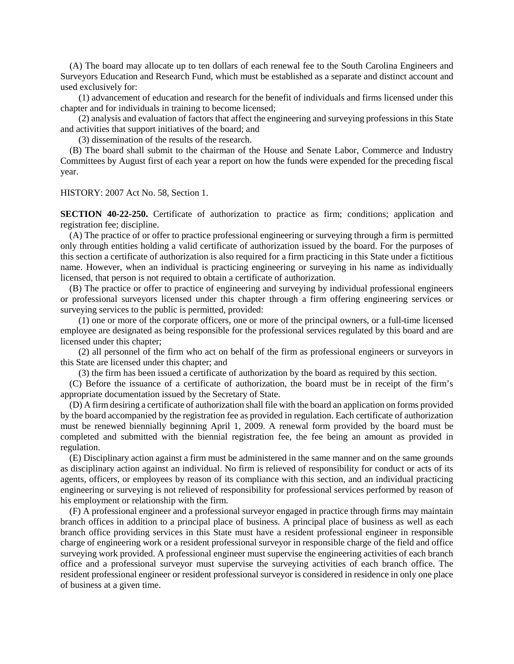(A) The board may allocate up to ten dollars of each renewal fee to the South Carolina Engineers and Surveyors Education and Research Fund, which must be established as a separate and distinct account and used exclusively for:

(1) advancement of education and research for the benefit of individuals and firms licensed under this chapter and for individuals in training to become licensed;

(2) analysis and evaluation of factors that affect the engineering and surveying professions in this State and activities that support initiatives of the board; and

(3) dissemination of the results of the research.

(B) The board shall submit to the chairman of the House and Senate Labor, Commerce and Industry Committees by August first of each year a report on how the funds were expended for the preceding fiscal year.

## HISTORY: 2007 Act No. 58, Section 1.

**SECTION 40-22-250.** Certificate of authorization to practice as firm; conditions; application and registration fee; discipline.

(A) The practice of or offer to practice professional engineering or surveying through a firm is permitted only through entities holding a valid certificate of authorization issued by the board. For the purposes of this section a certificate of authorization is also required for a firm practicing in this State under a fictitious name. However, when an individual is practicing engineering or surveying in his name as individually licensed, that person is not required to obtain a certificate of authorization.

(B) The practice or offer to practice of engineering and surveying by individual professional engineers or professional surveyors licensed under this chapter through a firm offering engineering services or surveying services to the public is permitted, provided:

(1) one or more of the corporate officers, one or more of the principal owners, or a full-time licensed employee are designated as being responsible for the professional services regulated by this board and are licensed under this chapter;

(2) all personnel of the firm who act on behalf of the firm as professional engineers or surveyors in this State are licensed under this chapter; and

(3) the firm has been issued a certificate of authorization by the board as required by this section.

(C) Before the issuance of a certificate of authorization, the board must be in receipt of the firm's appropriate documentation issued by the Secretary of State.

(D) A firm desiring a certificate of authorization shall file with the board an application on forms provided by the board accompanied by the registration fee as provided in regulation. Each certificate of authorization must be renewed biennially beginning April 1, 2009. A renewal form provided by the board must be completed and submitted with the biennial registration fee, the fee being an amount as provided in regulation.

(E) Disciplinary action against a firm must be administered in the same manner and on the same grounds as disciplinary action against an individual. No firm is relieved of responsibility for conduct or acts of its agents, officers, or employees by reason of its compliance with this section, and an individual practicing engineering or surveying is not relieved of responsibility for professional services performed by reason of his employment or relationship with the firm.

(F) A professional engineer and a professional surveyor engaged in practice through firms may maintain branch offices in addition to a principal place of business. A principal place of business as well as each branch office providing services in this State must have a resident professional engineer in responsible charge of engineering work or a resident professional surveyor in responsible charge of the field and office surveying work provided. A professional engineer must supervise the engineering activities of each branch office and a professional surveyor must supervise the surveying activities of each branch office. The resident professional engineer or resident professional surveyor is considered in residence in only one place of business at a given time.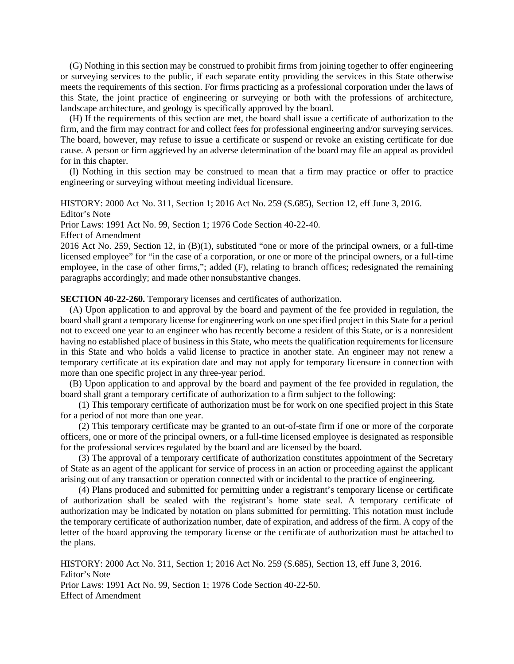(G) Nothing in this section may be construed to prohibit firms from joining together to offer engineering or surveying services to the public, if each separate entity providing the services in this State otherwise meets the requirements of this section. For firms practicing as a professional corporation under the laws of this State, the joint practice of engineering or surveying or both with the professions of architecture, landscape architecture, and geology is specifically approved by the board.

(H) If the requirements of this section are met, the board shall issue a certificate of authorization to the firm, and the firm may contract for and collect fees for professional engineering and/or surveying services. The board, however, may refuse to issue a certificate or suspend or revoke an existing certificate for due cause. A person or firm aggrieved by an adverse determination of the board may file an appeal as provided for in this chapter.

(I) Nothing in this section may be construed to mean that a firm may practice or offer to practice engineering or surveying without meeting individual licensure.

HISTORY: 2000 Act No. 311, Section 1; 2016 Act No. 259 (S.685), Section 12, eff June 3, 2016. Editor's Note

Prior Laws: 1991 Act No. 99, Section 1; 1976 Code Section 40-22-40.

Effect of Amendment

2016 Act No. 259, Section 12, in (B)(1), substituted "one or more of the principal owners, or a full-time licensed employee" for "in the case of a corporation, or one or more of the principal owners, or a full-time employee, in the case of other firms,"; added (F), relating to branch offices; redesignated the remaining paragraphs accordingly; and made other nonsubstantive changes.

**SECTION 40-22-260.** Temporary licenses and certificates of authorization.

(A) Upon application to and approval by the board and payment of the fee provided in regulation, the board shall grant a temporary license for engineering work on one specified project in this State for a period not to exceed one year to an engineer who has recently become a resident of this State, or is a nonresident having no established place of business in this State, who meets the qualification requirements for licensure in this State and who holds a valid license to practice in another state. An engineer may not renew a temporary certificate at its expiration date and may not apply for temporary licensure in connection with more than one specific project in any three-year period.

(B) Upon application to and approval by the board and payment of the fee provided in regulation, the board shall grant a temporary certificate of authorization to a firm subject to the following:

(1) This temporary certificate of authorization must be for work on one specified project in this State for a period of not more than one year.

(2) This temporary certificate may be granted to an out-of-state firm if one or more of the corporate officers, one or more of the principal owners, or a full-time licensed employee is designated as responsible for the professional services regulated by the board and are licensed by the board.

(3) The approval of a temporary certificate of authorization constitutes appointment of the Secretary of State as an agent of the applicant for service of process in an action or proceeding against the applicant arising out of any transaction or operation connected with or incidental to the practice of engineering.

(4) Plans produced and submitted for permitting under a registrant's temporary license or certificate of authorization shall be sealed with the registrant's home state seal. A temporary certificate of authorization may be indicated by notation on plans submitted for permitting. This notation must include the temporary certificate of authorization number, date of expiration, and address of the firm. A copy of the letter of the board approving the temporary license or the certificate of authorization must be attached to the plans.

HISTORY: 2000 Act No. 311, Section 1; 2016 Act No. 259 (S.685), Section 13, eff June 3, 2016. Editor's Note Prior Laws: 1991 Act No. 99, Section 1; 1976 Code Section 40-22-50. Effect of Amendment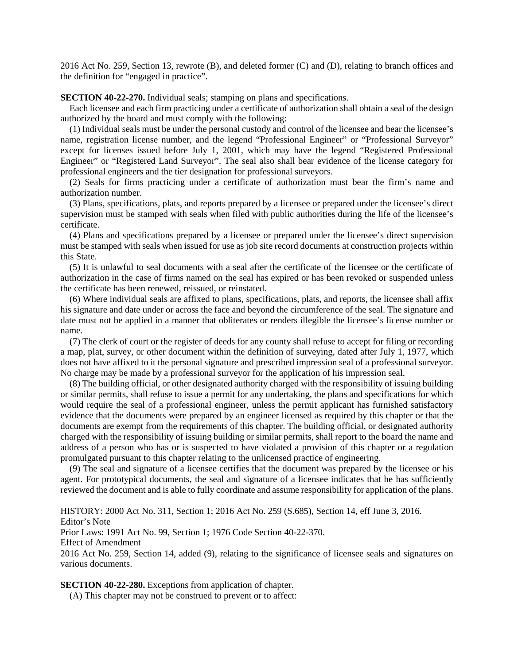2016 Act No. 259, Section 13, rewrote (B), and deleted former (C) and (D), relating to branch offices and the definition for "engaged in practice".

**SECTION 40-22-270.** Individual seals; stamping on plans and specifications.

Each licensee and each firm practicing under a certificate of authorization shall obtain a seal of the design authorized by the board and must comply with the following:

(1) Individual seals must be under the personal custody and control of the licensee and bear the licensee's name, registration license number, and the legend "Professional Engineer" or "Professional Surveyor" except for licenses issued before July 1, 2001, which may have the legend "Registered Professional Engineer" or "Registered Land Surveyor". The seal also shall bear evidence of the license category for professional engineers and the tier designation for professional surveyors.

(2) Seals for firms practicing under a certificate of authorization must bear the firm's name and authorization number.

(3) Plans, specifications, plats, and reports prepared by a licensee or prepared under the licensee's direct supervision must be stamped with seals when filed with public authorities during the life of the licensee's certificate.

(4) Plans and specifications prepared by a licensee or prepared under the licensee's direct supervision must be stamped with seals when issued for use as job site record documents at construction projects within this State.

(5) It is unlawful to seal documents with a seal after the certificate of the licensee or the certificate of authorization in the case of firms named on the seal has expired or has been revoked or suspended unless the certificate has been renewed, reissued, or reinstated.

(6) Where individual seals are affixed to plans, specifications, plats, and reports, the licensee shall affix his signature and date under or across the face and beyond the circumference of the seal. The signature and date must not be applied in a manner that obliterates or renders illegible the licensee's license number or name.

(7) The clerk of court or the register of deeds for any county shall refuse to accept for filing or recording a map, plat, survey, or other document within the definition of surveying, dated after July 1, 1977, which does not have affixed to it the personal signature and prescribed impression seal of a professional surveyor. No charge may be made by a professional surveyor for the application of his impression seal.

(8) The building official, or other designated authority charged with the responsibility of issuing building or similar permits, shall refuse to issue a permit for any undertaking, the plans and specifications for which would require the seal of a professional engineer, unless the permit applicant has furnished satisfactory evidence that the documents were prepared by an engineer licensed as required by this chapter or that the documents are exempt from the requirements of this chapter. The building official, or designated authority charged with the responsibility of issuing building or similar permits, shall report to the board the name and address of a person who has or is suspected to have violated a provision of this chapter or a regulation promulgated pursuant to this chapter relating to the unlicensed practice of engineering.

(9) The seal and signature of a licensee certifies that the document was prepared by the licensee or his agent. For prototypical documents, the seal and signature of a licensee indicates that he has sufficiently reviewed the document and is able to fully coordinate and assume responsibility for application of the plans.

HISTORY: 2000 Act No. 311, Section 1; 2016 Act No. 259 (S.685), Section 14, eff June 3, 2016.

Editor's Note

Prior Laws: 1991 Act No. 99, Section 1; 1976 Code Section 40-22-370.

Effect of Amendment

2016 Act No. 259, Section 14, added (9), relating to the significance of licensee seals and signatures on various documents.

**SECTION 40-22-280.** Exceptions from application of chapter.

(A) This chapter may not be construed to prevent or to affect: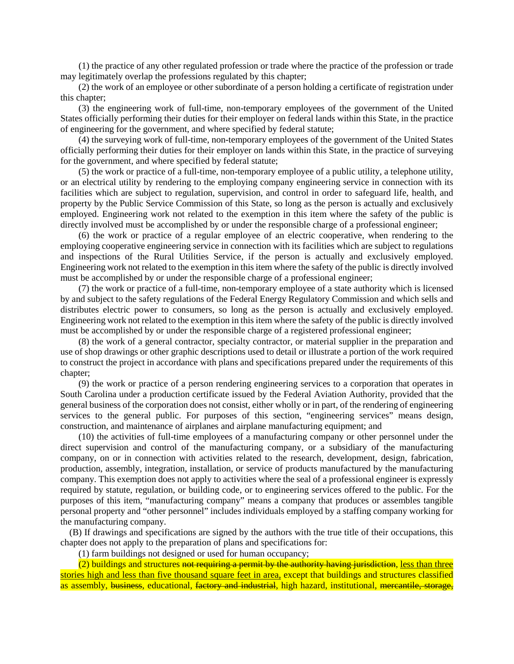(1) the practice of any other regulated profession or trade where the practice of the profession or trade may legitimately overlap the professions regulated by this chapter;

(2) the work of an employee or other subordinate of a person holding a certificate of registration under this chapter;

(3) the engineering work of full-time, non-temporary employees of the government of the United States officially performing their duties for their employer on federal lands within this State, in the practice of engineering for the government, and where specified by federal statute;

(4) the surveying work of full-time, non-temporary employees of the government of the United States officially performing their duties for their employer on lands within this State, in the practice of surveying for the government, and where specified by federal statute;

(5) the work or practice of a full-time, non-temporary employee of a public utility, a telephone utility, or an electrical utility by rendering to the employing company engineering service in connection with its facilities which are subject to regulation, supervision, and control in order to safeguard life, health, and property by the Public Service Commission of this State, so long as the person is actually and exclusively employed. Engineering work not related to the exemption in this item where the safety of the public is directly involved must be accomplished by or under the responsible charge of a professional engineer;

(6) the work or practice of a regular employee of an electric cooperative, when rendering to the employing cooperative engineering service in connection with its facilities which are subject to regulations and inspections of the Rural Utilities Service, if the person is actually and exclusively employed. Engineering work not related to the exemption in this item where the safety of the public is directly involved must be accomplished by or under the responsible charge of a professional engineer;

(7) the work or practice of a full-time, non-temporary employee of a state authority which is licensed by and subject to the safety regulations of the Federal Energy Regulatory Commission and which sells and distributes electric power to consumers, so long as the person is actually and exclusively employed. Engineering work not related to the exemption in this item where the safety of the public is directly involved must be accomplished by or under the responsible charge of a registered professional engineer;

(8) the work of a general contractor, specialty contractor, or material supplier in the preparation and use of shop drawings or other graphic descriptions used to detail or illustrate a portion of the work required to construct the project in accordance with plans and specifications prepared under the requirements of this chapter;

(9) the work or practice of a person rendering engineering services to a corporation that operates in South Carolina under a production certificate issued by the Federal Aviation Authority, provided that the general business of the corporation does not consist, either wholly or in part, of the rendering of engineering services to the general public. For purposes of this section, "engineering services" means design, construction, and maintenance of airplanes and airplane manufacturing equipment; and

(10) the activities of full-time employees of a manufacturing company or other personnel under the direct supervision and control of the manufacturing company, or a subsidiary of the manufacturing company, on or in connection with activities related to the research, development, design, fabrication, production, assembly, integration, installation, or service of products manufactured by the manufacturing company. This exemption does not apply to activities where the seal of a professional engineer is expressly required by statute, regulation, or building code, or to engineering services offered to the public. For the purposes of this item, "manufacturing company" means a company that produces or assembles tangible personal property and "other personnel" includes individuals employed by a staffing company working for the manufacturing company.

(B) If drawings and specifications are signed by the authors with the true title of their occupations, this chapter does not apply to the preparation of plans and specifications for:

(1) farm buildings not designed or used for human occupancy;

(2) buildings and structures not requiring a permit by the authority having jurisdiction, less than three stories high and less than five thousand square feet in area, except that buildings and structures classified as assembly, business, educational, factory and industrial, high hazard, institutional, mercantile, storage,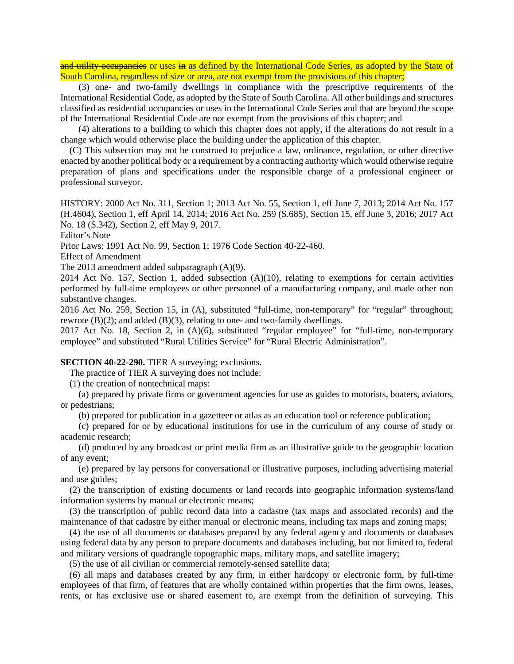and utility occupancies or uses in as defined by the International Code Series, as adopted by the State of South Carolina, regardless of size or area, are not exempt from the provisions of this chapter;

(3) one- and two-family dwellings in compliance with the prescriptive requirements of the International Residential Code, as adopted by the State of South Carolina. All other buildings and structures classified as residential occupancies or uses in the International Code Series and that are beyond the scope of the International Residential Code are not exempt from the provisions of this chapter; and

(4) alterations to a building to which this chapter does not apply, if the alterations do not result in a change which would otherwise place the building under the application of this chapter.

(C) This subsection may not be construed to prejudice a law, ordinance, regulation, or other directive enacted by another political body or a requirement by a contracting authority which would otherwise require preparation of plans and specifications under the responsible charge of a professional engineer or professional surveyor.

HISTORY: 2000 Act No. 311, Section 1; 2013 Act No. 55, Section 1, eff June 7, 2013; 2014 Act No. 157 (H.4604), Section 1, eff April 14, 2014; 2016 Act No. 259 (S.685), Section 15, eff June 3, 2016; 2017 Act No. 18 (S.342), Section 2, eff May 9, 2017.

Editor's Note

Prior Laws: 1991 Act No. 99, Section 1; 1976 Code Section 40-22-460.

Effect of Amendment

The 2013 amendment added subparagraph (A)(9).

2014 Act No. 157, Section 1, added subsection (A)(10), relating to exemptions for certain activities performed by full-time employees or other personnel of a manufacturing company, and made other non substantive changes.

2016 Act No. 259, Section 15, in (A), substituted "full-time, non-temporary" for "regular" throughout; rewrote  $(B)(2)$ ; and added  $(B)(3)$ , relating to one- and two-family dwellings.

2017 Act No. 18, Section 2, in (A)(6), substituted "regular employee" for "full-time, non-temporary employee" and substituted "Rural Utilities Service" for "Rural Electric Administration".

### **SECTION 40-22-290.** TIER A surveying; exclusions.

The practice of TIER A surveying does not include:

(1) the creation of nontechnical maps:

(a) prepared by private firms or government agencies for use as guides to motorists, boaters, aviators, or pedestrians;

(b) prepared for publication in a gazetteer or atlas as an education tool or reference publication;

(c) prepared for or by educational institutions for use in the curriculum of any course of study or academic research;

(d) produced by any broadcast or print media firm as an illustrative guide to the geographic location of any event;

(e) prepared by lay persons for conversational or illustrative purposes, including advertising material and use guides;

(2) the transcription of existing documents or land records into geographic information systems/land information systems by manual or electronic means;

(3) the transcription of public record data into a cadastre (tax maps and associated records) and the maintenance of that cadastre by either manual or electronic means, including tax maps and zoning maps;

(4) the use of all documents or databases prepared by any federal agency and documents or databases using federal data by any person to prepare documents and databases including, but not limited to, federal and military versions of quadrangle topographic maps, military maps, and satellite imagery;

(5) the use of all civilian or commercial remotely-sensed satellite data;

(6) all maps and databases created by any firm, in either hardcopy or electronic form, by full-time employees of that firm, of features that are wholly contained within properties that the firm owns, leases, rents, or has exclusive use or shared easement to, are exempt from the definition of surveying. This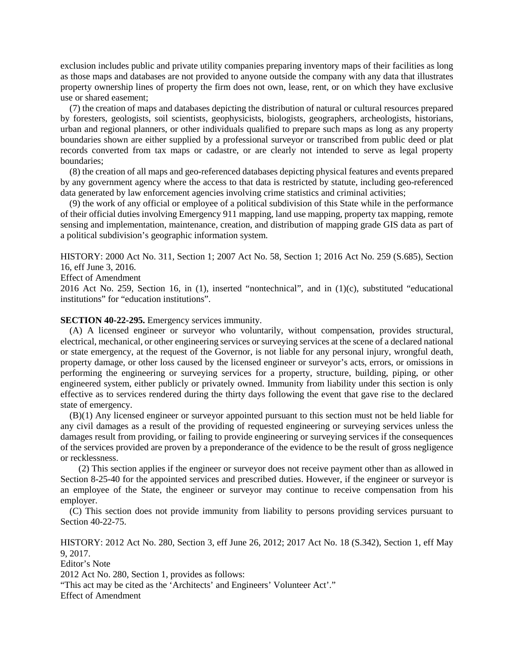exclusion includes public and private utility companies preparing inventory maps of their facilities as long as those maps and databases are not provided to anyone outside the company with any data that illustrates property ownership lines of property the firm does not own, lease, rent, or on which they have exclusive use or shared easement;

(7) the creation of maps and databases depicting the distribution of natural or cultural resources prepared by foresters, geologists, soil scientists, geophysicists, biologists, geographers, archeologists, historians, urban and regional planners, or other individuals qualified to prepare such maps as long as any property boundaries shown are either supplied by a professional surveyor or transcribed from public deed or plat records converted from tax maps or cadastre, or are clearly not intended to serve as legal property boundaries;

(8) the creation of all maps and geo-referenced databases depicting physical features and events prepared by any government agency where the access to that data is restricted by statute, including geo-referenced data generated by law enforcement agencies involving crime statistics and criminal activities;

(9) the work of any official or employee of a political subdivision of this State while in the performance of their official duties involving Emergency 911 mapping, land use mapping, property tax mapping, remote sensing and implementation, maintenance, creation, and distribution of mapping grade GIS data as part of a political subdivision's geographic information system.

HISTORY: 2000 Act No. 311, Section 1; 2007 Act No. 58, Section 1; 2016 Act No. 259 (S.685), Section 16, eff June 3, 2016.

Effect of Amendment

2016 Act No. 259, Section 16, in (1), inserted "nontechnical", and in (1)(c), substituted "educational institutions" for "education institutions".

## **SECTION 40-22-295.** Emergency services immunity.

(A) A licensed engineer or surveyor who voluntarily, without compensation, provides structural, electrical, mechanical, or other engineering services or surveying services at the scene of a declared national or state emergency, at the request of the Governor, is not liable for any personal injury, wrongful death, property damage, or other loss caused by the licensed engineer or surveyor's acts, errors, or omissions in performing the engineering or surveying services for a property, structure, building, piping, or other engineered system, either publicly or privately owned. Immunity from liability under this section is only effective as to services rendered during the thirty days following the event that gave rise to the declared state of emergency.

(B)(1) Any licensed engineer or surveyor appointed pursuant to this section must not be held liable for any civil damages as a result of the providing of requested engineering or surveying services unless the damages result from providing, or failing to provide engineering or surveying services if the consequences of the services provided are proven by a preponderance of the evidence to be the result of gross negligence or recklessness.

(2) This section applies if the engineer or surveyor does not receive payment other than as allowed in Section 8-25-40 for the appointed services and prescribed duties. However, if the engineer or surveyor is an employee of the State, the engineer or surveyor may continue to receive compensation from his employer.

(C) This section does not provide immunity from liability to persons providing services pursuant to Section 40-22-75.

HISTORY: 2012 Act No. 280, Section 3, eff June 26, 2012; 2017 Act No. 18 (S.342), Section 1, eff May 9, 2017.

Editor's Note

2012 Act No. 280, Section 1, provides as follows:

"This act may be cited as the 'Architects' and Engineers' Volunteer Act'."

Effect of Amendment